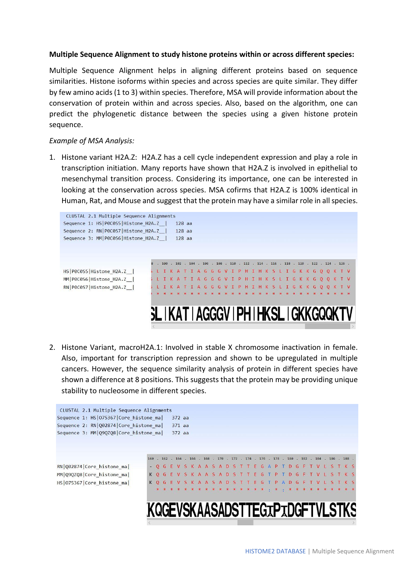## **Multiple Sequence Alignment to study histone proteins within or across different species:**

Multiple Sequence Alignment helps in aligning different proteins based on sequence similarities. Histone isoforms within species and across species are quite similar. They differ by few amino acids (1 to 3) within species. Therefore, MSA will provide information about the conservation of protein within and across species. Also, based on the algorithm, one can predict the phylogenetic distance between the species using a given histone protein sequence.

## *Example of MSA Analysis:*

1. Histone variant H2A.Z: H2A.Z has a cell cycle independent expression and play a role in transcription initiation. Many reports have shown that H2A.Z is involved in epithelial to mesenchymal transition process. Considering its importance, one can be interested in looking at the conservation across species. MSA cofirms that H2A.Z is 100% identical in Human, Rat, and Mouse and suggest that the protein may have a similar role in all species.



2. Histone Variant, macroH2A.1: Involved in stable X chromosome inactivation in female. Also, important for transcription repression and shown to be upregulated in multiple cancers. However, the sequence similarity analysis of protein in different species have shown a difference at 8 positions. This suggests that the protein may be providing unique stability to nucleosome in different species.